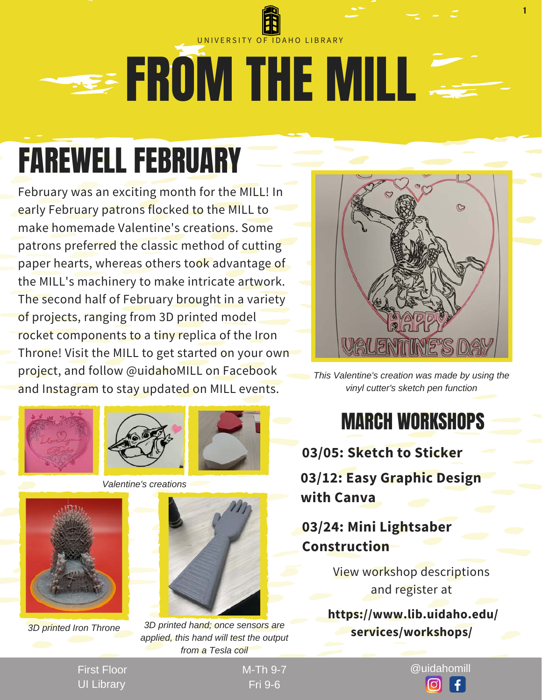### **EROM THE MILL** UNIVERSITY OF IDAHO LIBRARY

## FAREWELL FEBRUARY

February was an exciting month for the MILL! In early February patrons flocked to the MILL to make homemade Valentine's creations. Some patrons preferred the classic method of cutting paper hearts, whereas others took advantage of the MILL's machinery to make intricate artwork. The second half of February brought in a variety of projects, ranging from 3D printed model rocket components to a tiny replica of the Iron Throne! Visit the MILL to get started on your own project, and follow @uidahoMILL on Facebook and Instagram to stay updated on MILL events.











*3D printed Iron Throne 3D printed hand; once sensors are applied, this hand will test the output from a Tesla coil*



1

*This Valentine's creation was made by using the vinyl cutter's sketch pen function*

#### MARCH WORKSHOPS

**03/05: Sketch to Sticker 03/12: Easy Graphic Design with Canva**

**03/24: Mini Lightsaber Construction**

> View workshop descriptions and register at

 **https://www.lib.uidaho.edu/ services/workshops/**

First Floor UI Library

Fri 9-6

M-Th 9-7 @uidahomill